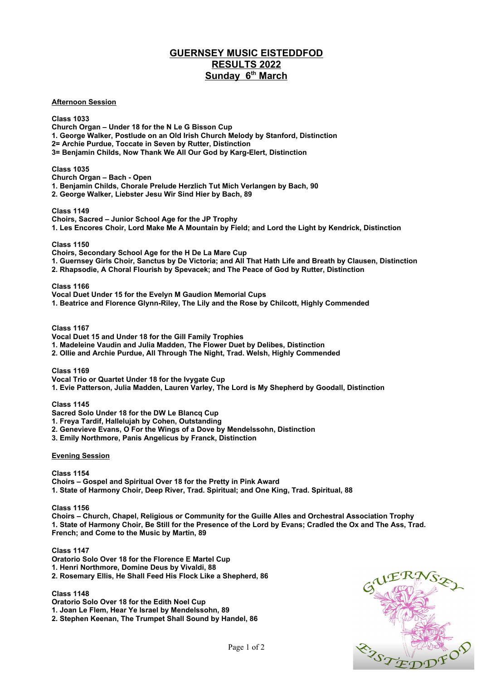## **GUERNSEY MUSIC EISTEDDFOD RESULTS 2022 Sunday 6th March**

**Afternoon Session**

**Class 1033 Church Organ – Under 18 for the N Le G Bisson Cup 1. George Walker, Postlude on an Old Irish Church Melody by Stanford, Distinction 2= Archie Purdue, Toccate in Seven by Rutter, Distinction 3= Benjamin Childs, Now Thank We All Our God by Karg-Elert, Distinction**

**Class 1035**

**Church Organ – Bach - Open 1. Benjamin Childs, Chorale Prelude Herzlich Tut Mich Verlangen by Bach, 90**

**2. George Walker, Liebster Jesu Wir Sind Hier by Bach, 89**

**Class 1149**

**Choirs, Sacred – Junior School Age for the JP Trophy 1. Les Encores Choir, Lord Make Me A Mountain by Field; and Lord the Light by Kendrick, Distinction**

**Class 1150**

**Choirs, Secondary School Age for the H De La Mare Cup**

**1. Guernsey Girls Choir, Sanctus by De Victoria; and All That Hath Life and Breath by Clausen, Distinction 2. Rhapsodie, A Choral Flourish by Spevacek; and The Peace of God by Rutter, Distinction** 

**Class 1166**

**Vocal Duet Under 15 for the Evelyn M Gaudion Memorial Cups**

**1. Beatrice and Florence Glynn-Riley, The Lily and the Rose by Chilcott, Highly Commended**

**Class 1167**

**Vocal Duet 15 and Under 18 for the Gill Family Trophies**

**1. Madeleine Vaudin and Julia Madden, The Flower Duet by Delibes, Distinction**

**2. Ollie and Archie Purdue, All Through The Night, Trad. Welsh, Highly Commended**

**Class 1169**

**Vocal Trio or Quartet Under 18 for the Ivygate Cup**

**1. Evie Patterson, Julia Madden, Lauren Varley, The Lord is My Shepherd by Goodall, Distinction** 

**Class 1145**

**Sacred Solo Under 18 for the DW Le Blancq Cup**

**1. Freya Tardif, Hallelujah by Cohen, Outstanding**

**2. Genevieve Evans, O For the Wings of a Dove by Mendelssohn, Distinction**

**3. Emily Northmore, Panis Angelicus by Franck, Distinction**

**Evening Session**

**Class 1154 Choirs – Gospel and Spiritual Over 18 for the Pretty in Pink Award 1. State of Harmony Choir, Deep River, Trad. Spiritual; and One King, Trad. Spiritual, 88**

**Class 1156**

**Choirs – Church, Chapel, Religious or Community for the Guille Alles and Orchestral Association Trophy 1. State of Harmony Choir, Be Still for the Presence of the Lord by Evans; Cradled the Ox and The Ass, Trad. French; and Come to the Music by Martin, 89**

**Class 1147**

**Oratorio Solo Over 18 for the Florence E Martel Cup 1. Henri Northmore, Domine Deus by Vivaldi, 88 2. Rosemary Ellis, He Shall Feed His Flock Like a Shepherd, 86**

**Class 1148 Oratorio Solo Over 18 for the Edith Noel Cup 1. Joan Le Flem, Hear Ye Israel by Mendelssohn, 89 2. Stephen Keenan, The Trumpet Shall Sound by Handel, 86**